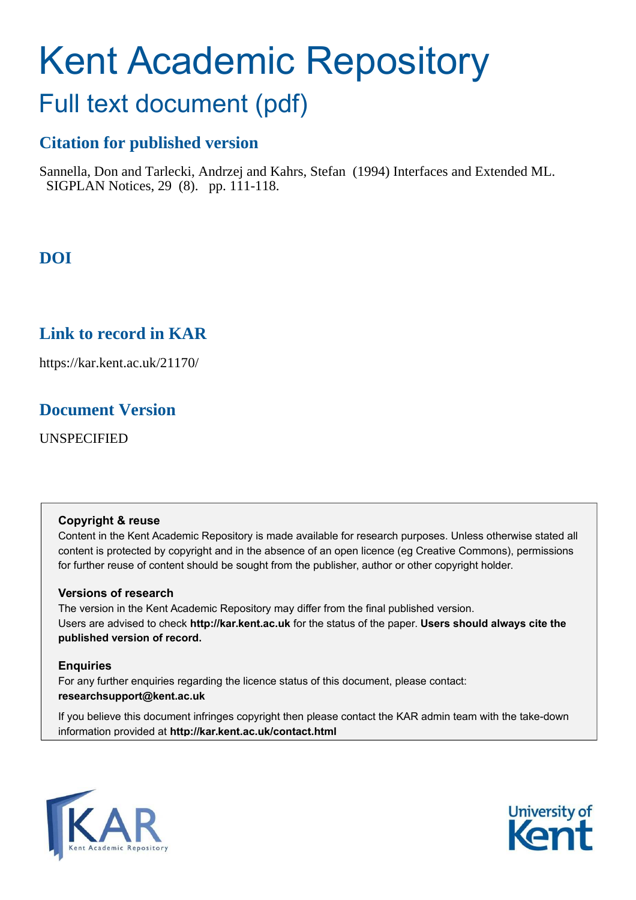# Kent Academic Repository

# Full text document (pdf)

## **Citation for published version**

Sannella, Don and Tarlecki, Andrzej and Kahrs, Stefan (1994) Interfaces and Extended ML. SIGPLAN Notices, 29 (8). pp. 111-118.

# **DOI**

## **Link to record in KAR**

https://kar.kent.ac.uk/21170/

## **Document Version**

UNSPECIFIED

#### **Copyright & reuse**

Content in the Kent Academic Repository is made available for research purposes. Unless otherwise stated all content is protected by copyright and in the absence of an open licence (eg Creative Commons), permissions for further reuse of content should be sought from the publisher, author or other copyright holder.

#### **Versions of research**

The version in the Kent Academic Repository may differ from the final published version. Users are advised to check **http://kar.kent.ac.uk** for the status of the paper. **Users should always cite the published version of record.**

#### **Enquiries**

For any further enquiries regarding the licence status of this document, please contact: **researchsupport@kent.ac.uk**

If you believe this document infringes copyright then please contact the KAR admin team with the take-down information provided at **http://kar.kent.ac.uk/contact.html**



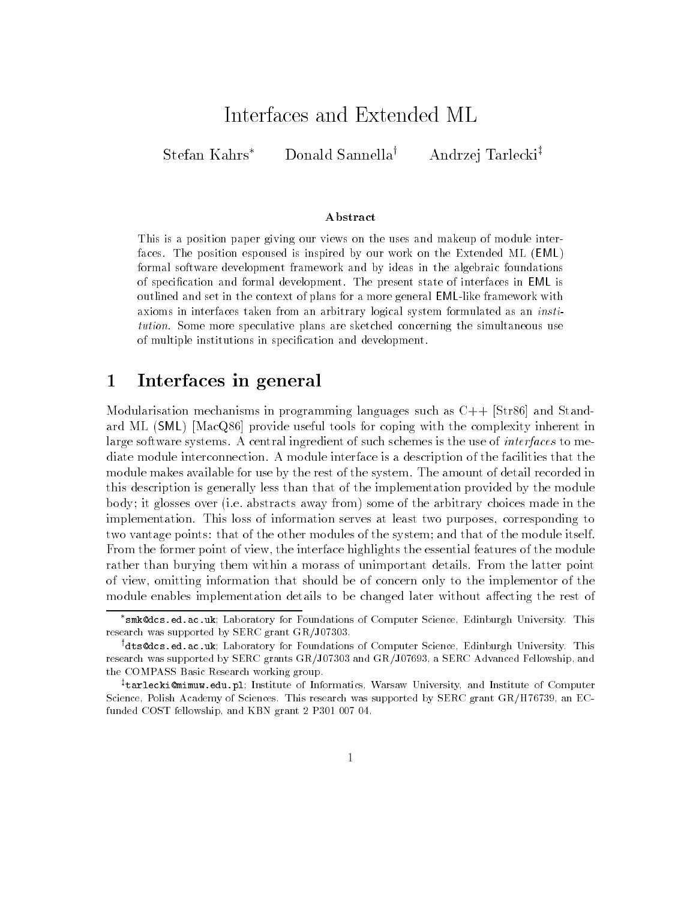## Interfaces and Extended ML

Stefan Kahrs Donald Sannella<sup>†</sup> Andrzej Tarlecki<sup>‡</sup>

#### Abstract

This is a position paper with interfaces The position espoused is inspired by our work on the Extended ML EML formal software development framework and by ideas in the algebraic foundations of specication and formal development The present state of interfaces in EML is outlined and set in the context of plans for with  $\alpha$  and  $\alpha$  and  $\alpha$  and  $\alpha$  and  $\alpha$  and  $\alpha$  and  $\alpha$  and  $\alpha$ axioms in interfaces taken from an arbitrary logical system formulated as an insti tution. Some more speculative plans are sketched concerning the simultaneous use of multiple in the state in special interest in state in the control of the special computer in the special special of the special special special special special special special special special special special special spe

#### 1 Interfaces in general

Modularisation mechanisms in programming languages such as C-- Str and Stand ard ML  $(SML)$  [MacQ86] provide useful tools for coping with the complexity inherent in large software systems A central ingredient of such schemes is the use of interfaces to me a module interface is a module interface is a module interface is a description of the facilities that the fac module makes available for use by the rest of the system The amount of detail recorded in this description is generally less than that of the implementation provided by the module external distribution in the abstracts arbitrary from the arbitrary choices made in the arbitrary choices made implementation This loss of information serves at least two purposes corresponding to two vantage points: that of the other modules of the system; and that of the module itself. From the former point of view the interface highlights the essential features of the module rather thanks with the problem within a more are morally arranged to unit the contract points. of view omitting information that should be of concern only to the implementor of the module enables implementation details to be changed later without affecting the rest of

smk@dcs.ed.ac.uk; Laboratory for Foundations of Computer Science, Edinburgh University. This research was supported by SERC grant GR/J07303.

dts@dcs.ed.ac.uk Laboratory for Foundations of Computer Science, Edinburgh University. This research was supported by SERC grants GRJ and GRJ - a SERC Advanced Fellowship- and the COMPASS Basic Research working group

<sup>\*</sup>tarlecki@mimuw.edu.pl; Institute of Informatics, Warsaw University, and Institute of Computer Science- Polish Academy of Sciences This research was supported by SERC grant GRH - an EC funded COST fellowship- and KBN grant P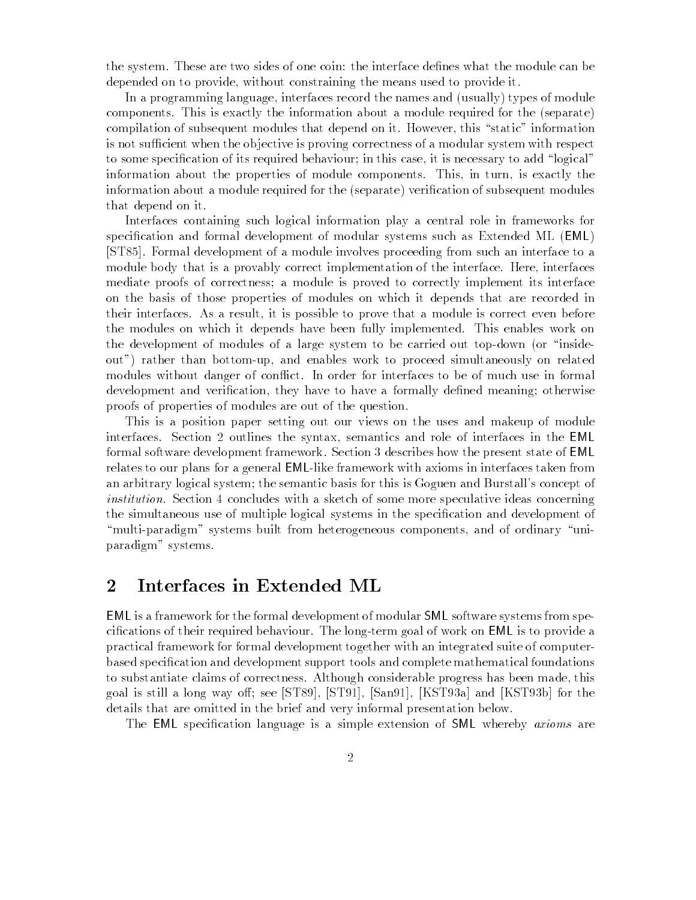the system These are two sides of one coin the interface denes what the module can be depended on to provide without constraining the means used to provide it

In a programming language, interfaces record the names and (usually) types of module components This is exactly the information about a module required for the separate compilation of subsequent modules that depend on its static information on its static information on its static information of the static information of the static information of the static information of the static inform is not sufficient when the objective is proving correctness of a modular system with respect to some specification of its required behaviour; in this case, it is necessary to add "logical" information about the properties of module components This in turn is exactly the information about a module required for the (separate) verification of subsequent modules that depend on it

Interfaces containing such logical information play a central role in frameworks for specification and formal development of modular systems such as Extended ML (EML) ST Formal development of a module involves proceeding from such an interface to a module body that is a province, correct implementation in the interface reception of the interface mediate proofs of correctness a module is proved to correctly implement its interface on the basis of those properties of modules on which it depends that are recorded in their interfaces are a result; it is possible to prove that a module is correct even before the modules on which it depends have been fully implemented This enables work on the development of modules of a large system to be carried out top-down (or "insideout") rather than bottom-up, and enables work to proceed simultaneously on related modules without danger of conict In order for interfaces to be of much use in formal development and verification, they have to have a formally defined meaning; otherwise proofs of properties of modules are out of the question

This is <sup>a</sup> position paper setting out our views on the uses and makeup of module interfaces Section outlines the syntax semantics and role of interfaces in the EML formal software development framework Section describes how the present state of EML relates to our plans for a general **EML**-like framework with axioms in interfaces taken from an arbitrary logical system; the semantic basis for this is Goguen and Burstall's concept of institution Section concludes with a sketch of some more speculative ideas concerning the simultaneous use of multiple logical systems in the specification and development of "multi-paradigm" systems built from heterogeneous components, and of ordinary "uniparadigm" systems.

#### -Interfaces in Extended ML

EML is a framework for the formal development of modular SML software systems from spe cications of their required behaviour representations are the state and the provided as practical framework for formal development together with an integrated suite of computer based specification and development support tools and complete mathematical foundations to substantiate conservative corrections in considerable progress has been made this begin that goal is still a long way off; see  $[ST89]$ ,  $[ST91]$ ,  $[San91]$ ,  $[ KST93a]$  and  $[ KST93b]$  for the details that are omitted in the brief and very informal presentation below

The EML specification language is a simple extension of SML whereby *axioms* are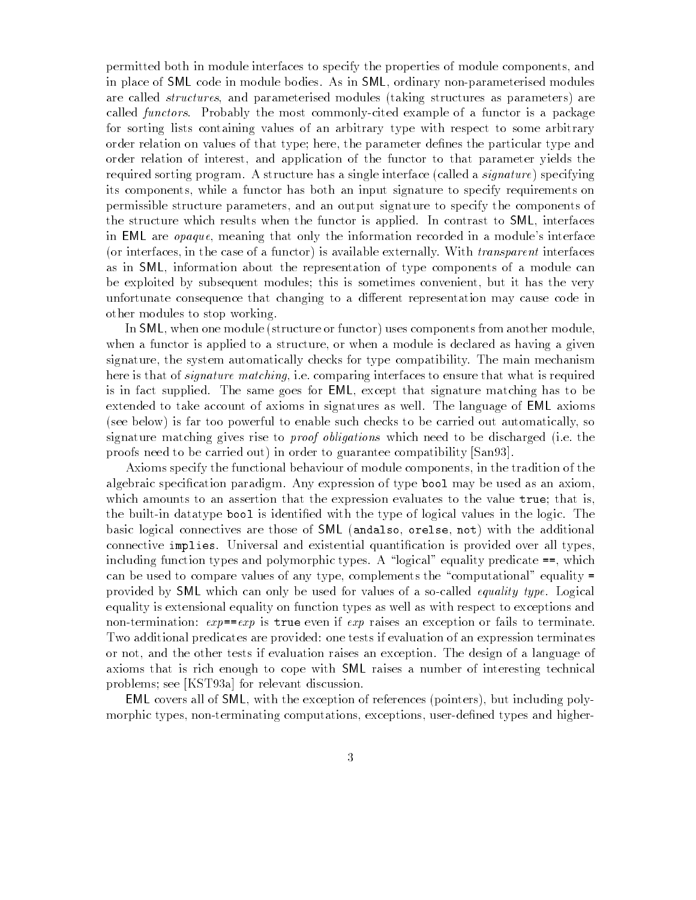permitted both in module interfaces to specify the properties of module components and in place of SML code in module bodies As in SML ordinary nonparameterised modules are called *structures*, and parameterised modules (taking structures as parameters) are called functors the most clients commonly client chample of a functor is a package for sorting lists containing values of an arbitrary type with respect to some arbitrary order relation on values of that type; here, the parameter defines the particular type and order relation of interest and application of the functor to that parameter yields the required sorting program is structure that a single interface  $\mu$  called a signature  $\mu$  specifying its components while a functor has both an input signature to specify requirements on permissible structure parameters and an output signature to specify the components of the structure which results when the functor is applied In contrast to SML interfaces in **EML** are *opaque*, meaning that only the information recorded in a module's interface  $\{v_1, \ldots, v_{n+1}, \ldots, v_{n+1}, \ldots, v_{n+1}, \ldots, v_{n+1}, \ldots, v_{n+1}, \ldots, v_{n+1}, \ldots, v_{n+1}, \ldots, v_{n+1}, \ldots, v_{n+1}, \ldots, v_{n+1}, \ldots, v_{n+1}, \ldots, v_{n+1}, \ldots, v_{n+1}, \ldots, v_{n+1}, \ldots, v_{n+1}, \ldots, v_{n+1}, \ldots, v_{n+1}, \ldots, v_{n+1}, \ldots, v_{n+1}, \ldots, v_{n+1}, \ldots, v_{n+1}, \ldots,$ as in SML information about the representation of type components of a module can be exploited by subsequent modules; this is sometimes convenient, but it has the very unfortunate consequence that changing to a different representation may cause code in other modules to stop working.

In SML, when one module (structure or functor) uses components from another module, when a functor is applied to a structure or when a module is declared as having a given signature the system and checks for the main mechanism for the mechanism mechanism mechanism ment to that of signature matching its comparing meeting to ensure the share in required is in fact supplied The same goes for EML except that signature matching has to be extended to take account of axioms in signatures as well The language of EML axioms (see below) is far too powerful to enable such checks to be carried out automatically, so signature matching gives rise to proof obligations which need to be discussion (need the proofs need to be carried out) in order to guarantee compatibility  $[San93]$ .

Axioms specify the functional behaviour of module components in the tradition of the algebraic specication paradigm Any expression of type bool may be used as an axiom which amounts to an assertion that the expression evaluates to the value  $true$ ; that is, the builtin datatype bool is identied with the type of logical values in the logic The basic logical connectives are those of SML (andalso, orelse, not) with the additional connective <del>i</del>mplies in and existential and existential quantization is provided over all types including functions types and polymorphic types to angering equality predicate - ( ) which can be used to compare values of any type, complements the "computational" equality  $=$ provided by SML which can only be used for values of a socalled equality type Logical equality is extensional equality on function types as well as with respect to exceptions and experimentation to the compact of the second compact of the control of the control of the contention of Two additional predicates are provided: one tests if evaluation of an expression terminates or not and the other tests if evaluation raises an exception The design of a language of axioms that is rich enough to cope with SML raises a number of interesting technical problems; see [KST93a] for relevant discussion.

 $EML$  covers all of SML, with the exception of references (pointers), but including polymorphic types, non-terminating computations, exceptions, user-defined types and higher-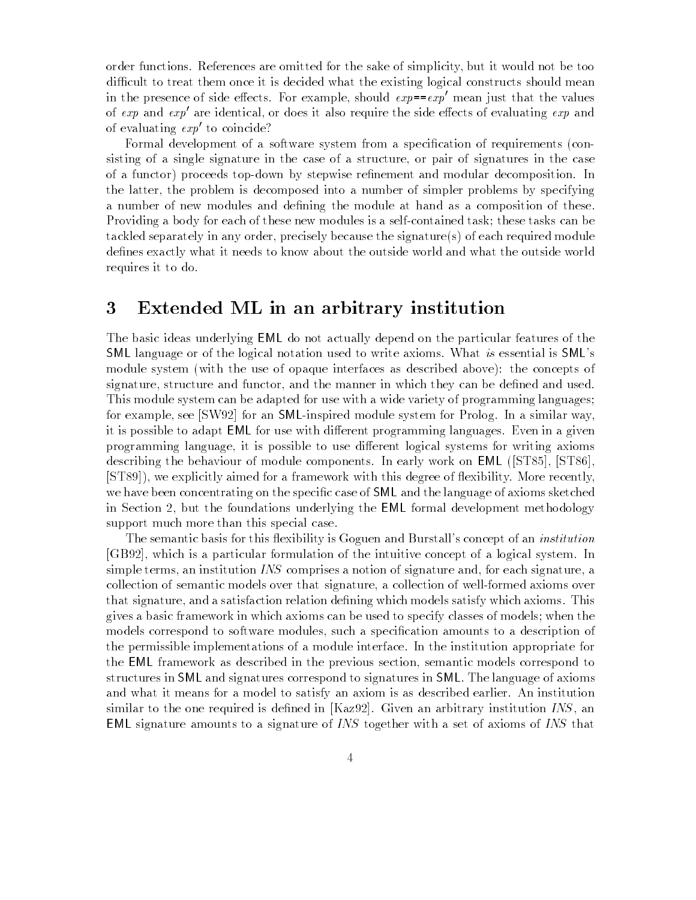order functions References are omitted for the sake of simplicity but it would not be too difficult to treat them once it is decided what the existing logical constructs should mean in the presence of side effects. For example, should  $\exp = \exp$  mean just that the values of  $\mathit{exp}$  and  $\mathit{exp}$  are identical, or does it also require the side effects of evaluating  $\mathit{exp}$  and of evaluating  $\exp$  to coincide!

Formal development of a software system from a specification of requirements (consisting of a single signature in the case of a structure or pair of signatures in the case of a functor proceeds topdown by stepwise renement and modular decomposition In the latter the problem is decomposed into a number of simpler problems by specifying a number of new modules and defining the module at hand as a composition of these. Providing a body for each of these new modules is a self-contained task; these tasks can be tackled separately in any order, precisely because the signature $(s)$  of each required module defines exactly what it needs to know about the outside world and what the outside world requires it to do

## Extended ML in an arbitrary institution

The basic ideas underlying EML do not actually depend on the particular features of the SML language or of the logical notation used to write axioms What is essential is SMLs module system (with the use of opaque interfaces as described above): the concepts of signature, structure and functor, and the manner in which they can be defined and used. This module system can be adapted for use with a wide variety of programming languages for example see SW for an SMLinspired module system for Prolog In a similar way it is possible to adapt EML for use with dierent programming languages Even in a given programming language, it is possible to use different logical systems for writing axioms describing the behaviour of module components and the state and allowed place to provide ST  we explicitly aimed for a framework with this degree of exibility More recently we have been concentrating on the specific case of SML and the language of axioms sketched in Section 2, but the foundations underlying the **EML** formal development methodology support much more than this special case.

The semantic basis for this flexibility is Goguen and Burstall's concept of an *institution* , we very which is a particular formulation of the intuitive concept of a logical system of simple terms, an institution *INS* comprises a notion of signature and, for each signature, a collection of semantic models over that signature, a collection of well-formed axioms over  $\mathcal{L}_{\mathbf{X}}$  satisfaction relation relation relation density  $\mathbf{X}$  which models satisfy which are associated to  $\mathbf{X}$ gives a basic framework in which axioms can be used to specify classes of models when the models correspond to software modules, such a specification amounts to a description of the permissible implementations of a module interface In the institution appropriate for the EML framework as described in the previous section semantic models correspond to structures in Sml and signatures correspond to signatures in SML and SML and SML and SML and SML and SML and and what it means for a model to satisfy an axiom is associated to satisfy an axiom is associated earliers and similar to the one required is dened in the primary with the microscopy institution in the  $\eta$ EML signature amounts to a signature of INS together with a set of axioms of INS that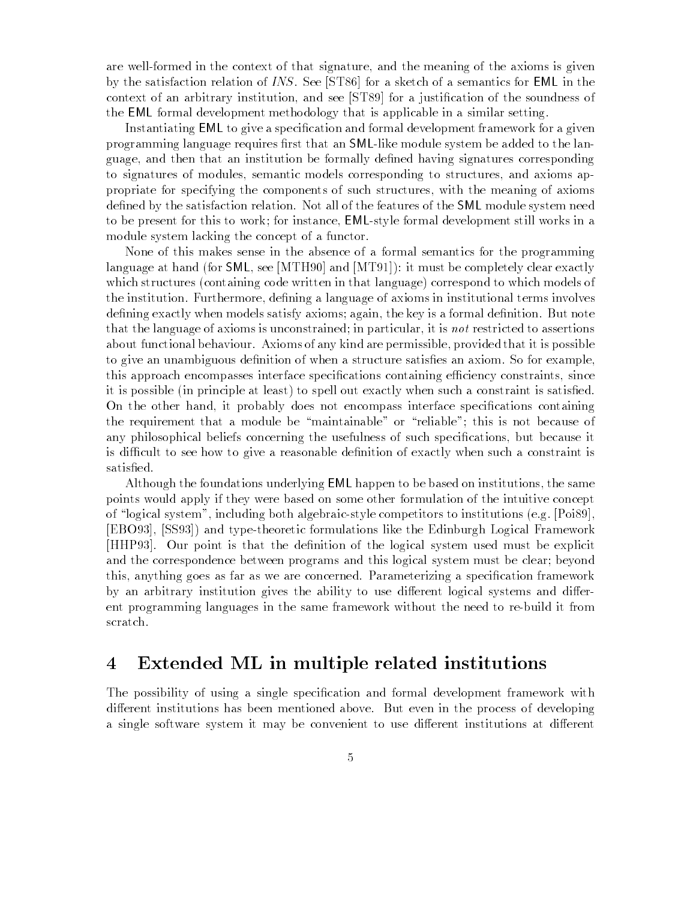are well-formed in the context of that signature, and the meaning of the axioms is given . The satisfaction relation of INS is the set of a set  $\alpha$  see ST for a semantic for  $\alpha$  see ST for context of an arbitrary institution, and see [ST89] for a justification of the soundness of the EML formal development methodology that is applicable in a similar setting

Instantiating **EML** to give a specification and formal development framework for a given programming language requires first that an SML-like module system be added to the language, and then that an institution be formally defined having signatures corresponding to signatures of modules semantic models corresponding to structures and axioms ap propriate for specifying the components of such structures with the meaning of axioms dentica by the satisfaction relations is the will be the reature of the file dent by our module system  $\alpha$ to be present for this to work; for instance, EML-style formal development still works in a module system lacking the concept of a functor

None of this makes sense in the absence of a formal semantics for the programming language at hand (for  $SML$ , see [MTH90] and [MT91]): it must be completely clear exactly which structures (containing code written in that language) correspond to which models of the institution of the international terms in institution in institution in institution in terms in the set dening the compact satisfaction of the satisfy and formal density the contention of the content of the content that the language of axioms is unconstrained; in particular, it is *not* restricted to assertions about functional behaviour are permissible to the provided that it is possible that it is possible. to give an unambiguous denitions as structure satisfactor and continuous and axiometer and axiometers this approach encompasses interface specifications containing efficiency constraints, since it is possible (in principle at least) to spell out exactly when such a constraint is satisfied. On the other hand, it probably does not encompass interface specifications containing the requirement that a module be "maintainable" or "reliable"; this is not because of any philosophical beliefs concerning the usefulness of such specifications, but because it is difficult to see how to give a reasonable definition of exactly when such a constraint is satisfied.

Although the foundations underlying EML happen to be based on institutions the same points would apply if they were based on some other formulation of the intuitive concept of logical system including both algebraicstyle competitors to institutions e g Poi [EBO93], [SS93]) and type-theoretic formulations like the Edinburgh Logical Framework HHP Our point is that the denition of the logical system used must be explicit and the correspondence between programs and this logical system must be clear; beyond this as far as far as we are concerned as  $\alpha$  such as  $\alpha$  species as  $\alpha$  species as  $\alpha$ by an arbitrary institution gives the ability to use different logical systems and different programming languages in the same framework without the need to rebuild it from

### Extended ML in multiple related institutions

The possibility of using a single specification and formal development framework with adierent institutions in the been interested above above the process of developing above  $\mathcal{A}$ a single software system it may be convenient to use different institutions at different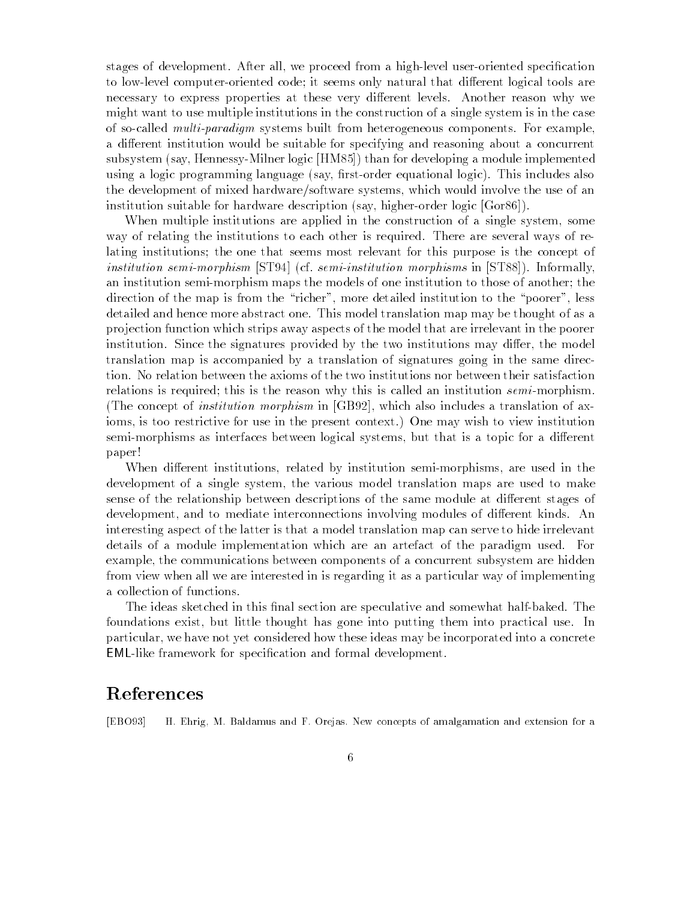stages of development After all we proceed from a highlevel useroriented specication to low-level computer-oriented code; it seems only natural that different logical tools are necessary to express properties at these very dierent levels Another reason why we might want to use multiple institutions in the construction of a single system is in the case of socalled multi-paradigm systems built from heterogeneous components For example a different institution would be suitable for specifying and reasoning about a concurrent subsystem (say, Hennessy-Milner logic [HM85]) than for developing a module implemented using a logic programming language say rstorder equational logic This includes also the development of mixed hardware/software systems, which would involve the use of an institution suitable for hardware description (say, higher-order logic [Gor86]).

When multiple institutions are applied in the construction of a single system, some way are relating the institutions to each other is required to relate the several ways of re lating institutions; the one that seems most relevant for this purpose is the concept of increduced semi-morphism  $\vert \omega = \sigma + \vert$  (see come encerements in presence in  $\vert \omega = \sigma \cup \vert$ ). The extremely an institution semi-morphism maps the models of one institution to those of another; the direction of the map is from the "richer", more detailed institution to the "poorer", less detailed and the model translation map may be the translation map map map map  $\alpha$  as a properties of as as pro jection function which strips away aspects of the model that are irrelevant in the poorer institution Since the signatures provided by the two institutions may dier the model translation map is accompanied by a translation of signatures going in the same direc relations is required; this is the reason why this is called an institution  $semi$ -morphism. (The concept of *institution morphism* in [GB92], which also includes a translation of axis to restrict the present context  $\mathcal{N}$  . The present context context context context context context context context context context context context context context context context context context context context con semi-morphisms as interfaces between logical systems, but that is a topic for a different paper

When different institutions, related by institution semi-morphisms, are used in the development of a single system the various model translation maps are used to make sense of the relationship between descriptions of the same module at different stages of development and to mediate interconnections involving modules of dierent kinds An interesting aspect of the latter is that a model translation map can serve to hide irrelevant details of a module implementation which are an artefact of the paradigm used the para example, the communications between components of a concurrent subsystem are hidden from view when all we are interested in is regarding it as a particular way of implementing a collection of functions

The ideas sketched in this nal section are speculative and somewhat halfbaked The foundations exist but little thought has gone into putting them into practical use In particular we have not yet considered how these ideas may be incorporated into a concrete **EML**-like framework for specification and formal development.

## References

[EBO93] He estated and the monotonical metal of and the form and the second and the second and the second and the second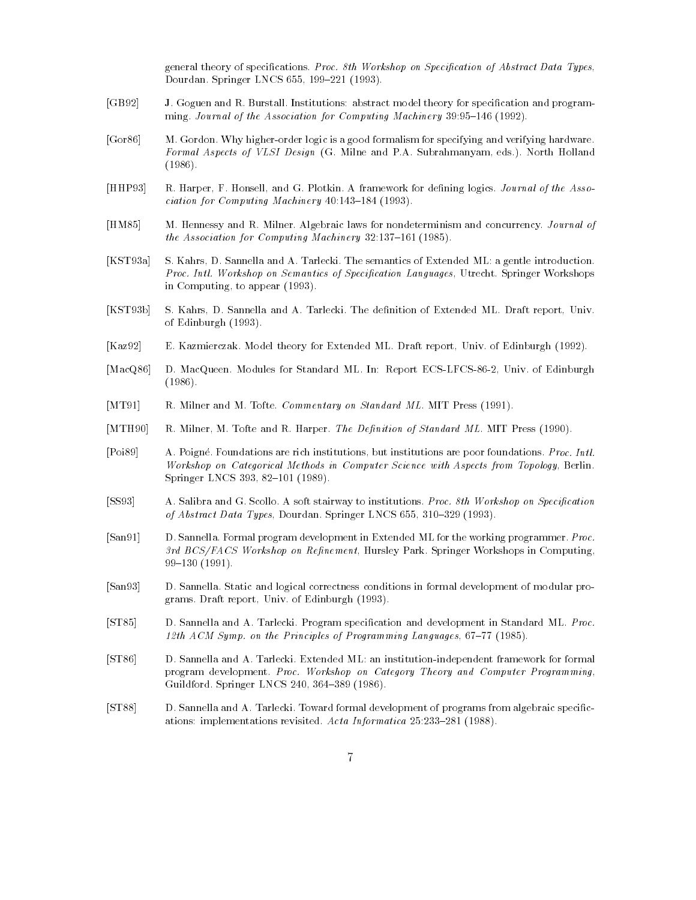general theory of specications Proc- th Workshop on Specication of Abstract Data Types- Dourdan Springer LNCS -    

- GB J Goguen and R Burstall Institutions abstract model theory for specication and program ming. Journal of the Association for Computing Machinery 39:95-146 (1992).
- order why formalism  $\alpha$  is a good formalism for specific is a good formalism for specific and verify measured Formal Aspects of VLSI Design G Milne and PA Subrahmanyam- eds North Holland  $(1986)$ .
- is and a finite and the contract for the Association of the Association and the Association of the Association ciation for Computing Machinery
- [HM85] M. Hennessy and R. Milner. Algebraic laws for nondeterminism and concurrency. Journal of the Association for Computing Machinery 32:137-161 (1985).
- $[KST93a]$ S. Kahrs, D. Sannella and A. Tarlecki. The semantics of Extended ML: a gentle introduction. Proc- Intl- Workshop on Semantics of Specication Languages- Utrecht Springer Workshops in Computing- to appear
- $KST93b$  D Sannella and A Tarlecki The denition of Extended ML Draft report- Univ of Edinburgh
- Kaz E Kazmierczak Model theory for Extended ML Draft report- Univ of Edinburgh
- MacQ D MacQueen Modules for Standard ML In Report ECS LFCS Univ of Edinburgh  $(1986).$
- [MT91] R. Milner and M. Tofte. Commentary on Standard ML. MIT Press (1991).
- MTH R Milner- M Tofte and R Harper The Denition of Standard ML MIT Press
- , point in a position of the rich institutions are rich institutions, which is a position for four foundations Workshop on Categorical Methods in Computer Science with Aspects from Topology- Berlin Springer LNCS -
- SS A Salibra and G Scollo A soft stairway to institutions Proc- th Workshop on Specication of Abstract Data Types- Dourdan Springer LNCS -
- [San91] D. Sannella. Formal program development in Extended ML for the working programmer. Proc. rd BCSFACS Workshop on Renement- Hursley Park Springer Workshops in Computing-  $99-130(1991)$ .
- San D Sannella Static and logical correctness conditions in formal development of modular pro grams Draft report- Univ of Edinburgh
- [ST85] D. Sannella and A. Tarlecki. Program specification and development in Standard ML. Proc. that the principles of the Principles of Programming Programming Coloration (Programming Coloration)
- ST D Sannella and A Tarlecki Extended ML an institution independent framework for formal program development Proc- Workshop on Category Theory and Computer Programming- Guilde Springer Springer Springer Google County
- ST D Sannella and A Tarlecki Toward formal development of programs from algebraic specic ations: implementations revisited. Acta Informatica 25:233-281 (1988).